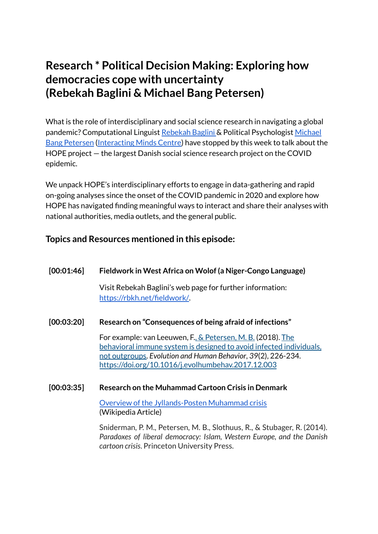# **Research \* Political Decision Making: Exploring how democracies cope with uncertainty (Rebekah Baglini & Michael Bang Petersen)**

What is the role of interdisciplinary and social science research in navigating a global pandemic? Computational Linguist [Rebekah](https://pure.au.dk/portal/en/persons/rebekah-brita-baglini(f861fd68-abc2-4f44-8996-d14336c75014).html) Baglini & Political Psychologist [Michael](https://pure.au.dk/portal/en/persons/michael-bang-petersen(7998cc16-75d5-4065-8b6e-395d73e22151).html) Bang [Petersen](https://pure.au.dk/portal/en/persons/michael-bang-petersen(7998cc16-75d5-4065-8b6e-395d73e22151).html) [\(Interacting](https://interactingminds.au.dk/) Minds Centre) have stopped by this week to talk about the HOPE project — the largest Danish social science research project on the COVID epidemic.

We unpack HOPE's interdisciplinary efforts to engage in data-gathering and rapid on-going analyses since the onset of the COVID pandemic in 2020 and explore how HOPE has navigated finding meaningful ways to interact and share their analyses with national authorities, media outlets, and the general public.

# **Topics and Resources mentioned in this episode:**

# **[00:01:46] Fieldwork in West Africa on Wolof (a Niger-Congo Language)**

Visit Rebekah Baglini's web page for further information: <https://rbkh.net/fieldwork/>.

# **[00:03:20] Research on "Consequences of being afraid of infections"**

For example: van Leeuwen, F., & [Petersen,](https://pure.au.dk/portal/en/persons/michael-bang-petersen(7998cc16-75d5-4065-8b6e-395d73e22151).html) M. B. (2018). [The](https://pure.au.dk/portal/en/publications/the-behavioral-immune-system-is-designed-to-avoid-infected-individuals-not-outgroups(c1e9f255-2048-46ea-a8cc-1b8665bad2a3).html) behavioral immune system is designed to avoid infected [individuals,](https://pure.au.dk/portal/en/publications/the-behavioral-immune-system-is-designed-to-avoid-infected-individuals-not-outgroups(c1e9f255-2048-46ea-a8cc-1b8665bad2a3).html) not [outgroups.](https://pure.au.dk/portal/en/publications/the-behavioral-immune-system-is-designed-to-avoid-infected-individuals-not-outgroups(c1e9f255-2048-46ea-a8cc-1b8665bad2a3).html) *Evolution and Human Behavior*, *39*(2), 226-234. <https://doi.org/10.1016/j.evolhumbehav.2017.12.003>

# **[00:03:35] Research on the Muhammad Cartoon Crisis in Denmark**

Overview of the [Jyllands-Posten](https://en.wikipedia.org/wiki/Jyllands-Posten_Muhammad_cartoons_controversy) Muhammad crisis (Wikipedia Article)

Sniderman, P. M., Petersen, M. B., Slothuus, R., & Stubager, R. (2014). *Paradoxes of liberal democracy: Islam, Western Europe, and the Danish cartoon crisis*. Princeton University Press.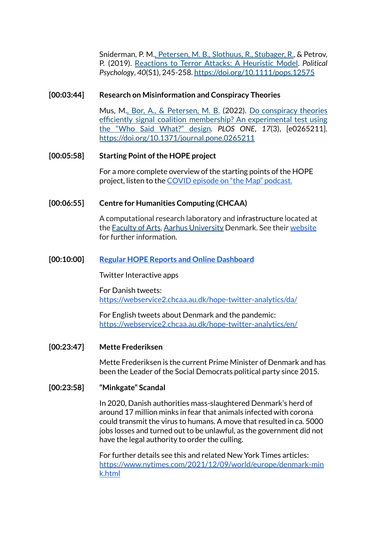Sniderman, P. M., [Petersen,](https://pure.au.dk/portal/en/persons/michael-bang-petersen(7998cc16-75d5-4065-8b6e-395d73e22151).html) M. B., [Slothuus,](https://pure.au.dk/portal/en/persons/rune-slothuus(76e88e37-bfad-4fe2-923e-51cd3022b0d2).html) R., [Stubager,](https://pure.au.dk/portal/en/persons/rune-stubager(a4304f9c-b7dc-4766-8fdb-9d1fd3be25a3).html) R., & Petrov, P. (2019). [Reactions](https://pure.au.dk/portal/en/publications/reactions-to-terror-attacks-a-heuristic-model(b8eb86d6-bc90-45ab-a900-3de07125eca4).html) to Terror Attacks: A Heuristic Model. *Political Psychology*, *40*(S1), 245-258. <https://doi.org/10.1111/pops.12575>

### **[00:03:44] Research on Misinformation and Conspiracy Theories**

Mus, M., [Bor,](https://pure.au.dk/portal/en/persons/alexander-bor(df35f529-baf4-4bbf-916e-9dac13baf052).html) A., & [Petersen,](https://pure.au.dk/portal/en/persons/michael-bang-petersen(7998cc16-75d5-4065-8b6e-395d73e22151).html) M. B. (2022). Do [conspiracy](https://pure.au.dk/portal/en/publications/do-conspiracy-theories-efficiently-signal-coalition-membership-an-experimental-test-using-the-who-said-what-design(756402c7-4aa5-4f92-aa22-491f2dc226a0).html) theories efficiently signal coalition [membership?](https://pure.au.dk/portal/en/publications/do-conspiracy-theories-efficiently-signal-coalition-membership-an-experimental-test-using-the-who-said-what-design(756402c7-4aa5-4f92-aa22-491f2dc226a0).html) An experimental test using the "Who Said [What?"](https://pure.au.dk/portal/en/publications/do-conspiracy-theories-efficiently-signal-coalition-membership-an-experimental-test-using-the-who-said-what-design(756402c7-4aa5-4f92-aa22-491f2dc226a0).html) design. *PLOS ONE*, *17*(3), [e0265211]. <https://doi.org/10.1371/journal.pone.0265211>

#### **[00:05:58] Starting Point ofthe HOPE project**

For a more complete overview of the starting points of the HOPE project, listen to the COVID episode on "the Map" [podcast.](https://podcasts.apple.com/us/podcast/2-covid/id1534508547?i=1000495650104)

# **[00:06:55] Centre for Humanities Computing (CHCAA)**

A computational research laboratory and infrastructure located at the [Faculty](https://arts.au.dk/en/) of Arts, Aarhus [University](https://arts.au.dk/en/) Denmark. See their [website](https://chcaa.io/#/) for further information.

#### **[00:10:00] Regular HOPE Reports and Online [Dashboard](https://hope-project.au.dk/#/reports)**

Twitter Interactive apps

For Danish tweets: <https://webservice2.chcaa.au.dk/hope-twitter-analytics/da/>

For English tweets about Denmark and the pandemic: <https://webservice2.chcaa.au.dk/hope-twitter-analytics/en/>

#### **[00:23:47] Mette Frederiksen**

Mette Frederiksen is the current Prime Minister of Denmark and has been the Leader of the Social Democrats political party since 2015.

#### **[00:23:58] "Minkgate" Scandal**

In 2020, Danish authorities mass-slaughtered Denmark's herd of around 17 million minks in fear that animals infected with corona could transmit the virus to humans. A move that resulted in ca. 5000 jobs losses and turned out to be unlawful, as the government did not have the legal authority to order the culling.

For further details see this and related New York Times articles: [https://www.nytimes.com/2021/12/09/world/europe/denmark-min](https://www.nytimes.com/2021/12/09/world/europe/denmark-mink.html) [k.html](https://www.nytimes.com/2021/12/09/world/europe/denmark-mink.html)